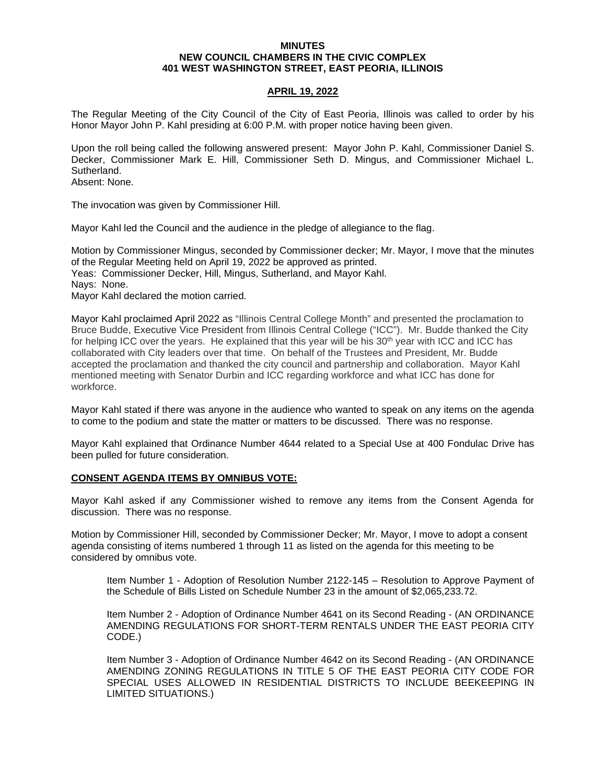### **MINUTES NEW COUNCIL CHAMBERS IN THE CIVIC COMPLEX 401 WEST WASHINGTON STREET, EAST PEORIA, ILLINOIS**

# **APRIL 19, 2022**

The Regular Meeting of the City Council of the City of East Peoria, Illinois was called to order by his Honor Mayor John P. Kahl presiding at 6:00 P.M. with proper notice having been given.

Upon the roll being called the following answered present: Mayor John P. Kahl, Commissioner Daniel S. Decker, Commissioner Mark E. Hill, Commissioner Seth D. Mingus, and Commissioner Michael L. Sutherland.

Absent: None.

The invocation was given by Commissioner Hill.

Mayor Kahl led the Council and the audience in the pledge of allegiance to the flag.

Motion by Commissioner Mingus, seconded by Commissioner decker; Mr. Mayor, I move that the minutes of the Regular Meeting held on April 19, 2022 be approved as printed. Yeas: Commissioner Decker, Hill, Mingus, Sutherland, and Mayor Kahl. Nays: None. Mayor Kahl declared the motion carried.

Mayor Kahl proclaimed April 2022 as "Illinois Central College Month" and presented the proclamation to Bruce Budde, Executive Vice President from Illinois Central College ("ICC"). Mr. Budde thanked the City for helping ICC over the years. He explained that this year will be his  $30<sup>th</sup>$  year with ICC and ICC has collaborated with City leaders over that time. On behalf of the Trustees and President, Mr. Budde accepted the proclamation and thanked the city council and partnership and collaboration. Mayor Kahl mentioned meeting with Senator Durbin and ICC regarding workforce and what ICC has done for workforce.

Mayor Kahl stated if there was anyone in the audience who wanted to speak on any items on the agenda to come to the podium and state the matter or matters to be discussed. There was no response.

Mayor Kahl explained that Ordinance Number 4644 related to a Special Use at 400 Fondulac Drive has been pulled for future consideration.

#### **CONSENT AGENDA ITEMS BY OMNIBUS VOTE:**

Mayor Kahl asked if any Commissioner wished to remove any items from the Consent Agenda for discussion. There was no response.

Motion by Commissioner Hill, seconded by Commissioner Decker; Mr. Mayor, I move to adopt a consent agenda consisting of items numbered 1 through 11 as listed on the agenda for this meeting to be considered by omnibus vote.

Item Number 1 - Adoption of Resolution Number 2122-145 – Resolution to Approve Payment of the Schedule of Bills Listed on Schedule Number 23 in the amount of \$2,065,233.72.

Item Number 2 - Adoption of Ordinance Number 4641 on its Second Reading - (AN ORDINANCE AMENDING REGULATIONS FOR SHORT-TERM RENTALS UNDER THE EAST PEORIA CITY CODE.)

Item Number 3 - Adoption of Ordinance Number 4642 on its Second Reading - (AN ORDINANCE AMENDING ZONING REGULATIONS IN TITLE 5 OF THE EAST PEORIA CITY CODE FOR SPECIAL USES ALLOWED IN RESIDENTIAL DISTRICTS TO INCLUDE BEEKEEPING IN LIMITED SITUATIONS.)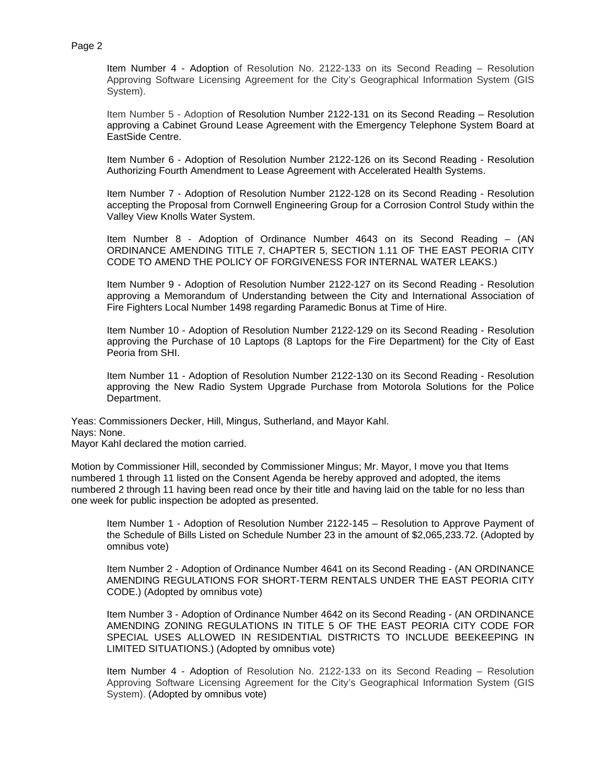Item Number 4 - Adoption of Resolution No. 2122-133 on its Second Reading – Resolution Approving Software Licensing Agreement for the City's Geographical Information System (GIS System).

Item Number 5 - Adoption of Resolution Number 2122-131 on its Second Reading – Resolution approving a Cabinet Ground Lease Agreement with the Emergency Telephone System Board at EastSide Centre.

Item Number 6 - Adoption of Resolution Number 2122-126 on its Second Reading - Resolution Authorizing Fourth Amendment to Lease Agreement with Accelerated Health Systems.

Item Number 7 - Adoption of Resolution Number 2122-128 on its Second Reading - Resolution accepting the Proposal from Cornwell Engineering Group for a Corrosion Control Study within the Valley View Knolls Water System.

Item Number 8 - Adoption of Ordinance Number 4643 on its Second Reading – (AN ORDINANCE AMENDING TITLE 7, CHAPTER 5, SECTION 1.11 OF THE EAST PEORIA CITY CODE TO AMEND THE POLICY OF FORGIVENESS FOR INTERNAL WATER LEAKS.)

Item Number 9 - Adoption of Resolution Number 2122-127 on its Second Reading - Resolution approving a Memorandum of Understanding between the City and International Association of Fire Fighters Local Number 1498 regarding Paramedic Bonus at Time of Hire.

Item Number 10 - Adoption of Resolution Number 2122-129 on its Second Reading - Resolution approving the Purchase of 10 Laptops (8 Laptops for the Fire Department) for the City of East Peoria from SHI.

Item Number 11 - Adoption of Resolution Number 2122-130 on its Second Reading - Resolution approving the New Radio System Upgrade Purchase from Motorola Solutions for the Police Department.

Yeas: Commissioners Decker, Hill, Mingus, Sutherland, and Mayor Kahl. Nays: None. Mayor Kahl declared the motion carried.

Motion by Commissioner Hill, seconded by Commissioner Mingus; Mr. Mayor, I move you that Items numbered 1 through 11 listed on the Consent Agenda be hereby approved and adopted, the items numbered 2 through 11 having been read once by their title and having laid on the table for no less than one week for public inspection be adopted as presented.

Item Number 1 - Adoption of Resolution Number 2122-145 – Resolution to Approve Payment of the Schedule of Bills Listed on Schedule Number 23 in the amount of \$2,065,233.72. (Adopted by omnibus vote)

Item Number 2 - Adoption of Ordinance Number 4641 on its Second Reading - (AN ORDINANCE AMENDING REGULATIONS FOR SHORT-TERM RENTALS UNDER THE EAST PEORIA CITY CODE.) (Adopted by omnibus vote)

Item Number 3 - Adoption of Ordinance Number 4642 on its Second Reading - (AN ORDINANCE AMENDING ZONING REGULATIONS IN TITLE 5 OF THE EAST PEORIA CITY CODE FOR SPECIAL USES ALLOWED IN RESIDENTIAL DISTRICTS TO INCLUDE BEEKEEPING IN LIMITED SITUATIONS.) (Adopted by omnibus vote)

Item Number 4 - Adoption of Resolution No. 2122-133 on its Second Reading – Resolution Approving Software Licensing Agreement for the City's Geographical Information System (GIS System). (Adopted by omnibus vote)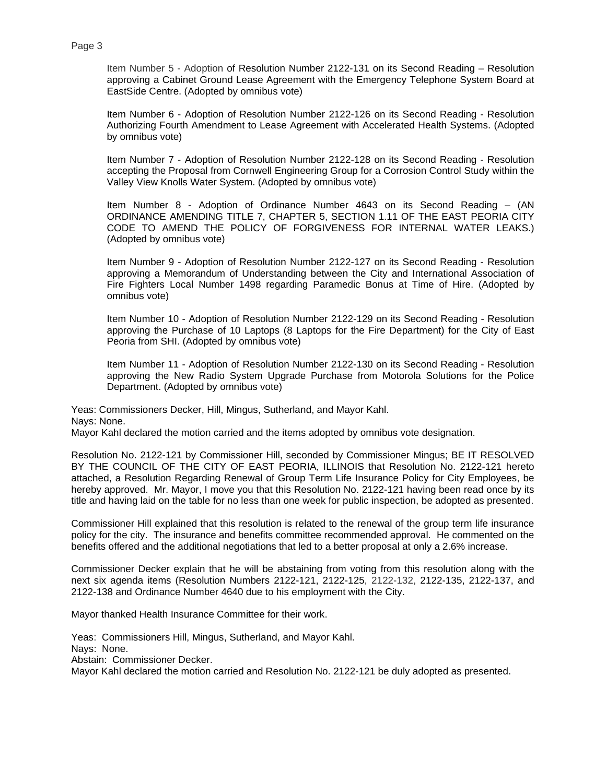Item Number 5 - Adoption of Resolution Number 2122-131 on its Second Reading – Resolution approving a Cabinet Ground Lease Agreement with the Emergency Telephone System Board at EastSide Centre. (Adopted by omnibus vote)

Item Number 6 - Adoption of Resolution Number 2122-126 on its Second Reading - Resolution Authorizing Fourth Amendment to Lease Agreement with Accelerated Health Systems. (Adopted by omnibus vote)

Item Number 7 - Adoption of Resolution Number 2122-128 on its Second Reading - Resolution accepting the Proposal from Cornwell Engineering Group for a Corrosion Control Study within the Valley View Knolls Water System. (Adopted by omnibus vote)

Item Number 8 - Adoption of Ordinance Number 4643 on its Second Reading – (AN ORDINANCE AMENDING TITLE 7, CHAPTER 5, SECTION 1.11 OF THE EAST PEORIA CITY CODE TO AMEND THE POLICY OF FORGIVENESS FOR INTERNAL WATER LEAKS.) (Adopted by omnibus vote)

Item Number 9 - Adoption of Resolution Number 2122-127 on its Second Reading - Resolution approving a Memorandum of Understanding between the City and International Association of Fire Fighters Local Number 1498 regarding Paramedic Bonus at Time of Hire. (Adopted by omnibus vote)

Item Number 10 - Adoption of Resolution Number 2122-129 on its Second Reading - Resolution approving the Purchase of 10 Laptops (8 Laptops for the Fire Department) for the City of East Peoria from SHI. (Adopted by omnibus vote)

Item Number 11 - Adoption of Resolution Number 2122-130 on its Second Reading - Resolution approving the New Radio System Upgrade Purchase from Motorola Solutions for the Police Department. (Adopted by omnibus vote)

Yeas: Commissioners Decker, Hill, Mingus, Sutherland, and Mayor Kahl. Nays: None.

Mayor Kahl declared the motion carried and the items adopted by omnibus vote designation.

Resolution No. 2122-121 by Commissioner Hill, seconded by Commissioner Mingus; BE IT RESOLVED BY THE COUNCIL OF THE CITY OF EAST PEORIA, ILLINOIS that Resolution No. 2122-121 hereto attached, a Resolution Regarding Renewal of Group Term Life Insurance Policy for City Employees, be hereby approved. Mr. Mayor, I move you that this Resolution No. 2122-121 having been read once by its title and having laid on the table for no less than one week for public inspection, be adopted as presented.

Commissioner Hill explained that this resolution is related to the renewal of the group term life insurance policy for the city. The insurance and benefits committee recommended approval. He commented on the benefits offered and the additional negotiations that led to a better proposal at only a 2.6% increase.

Commissioner Decker explain that he will be abstaining from voting from this resolution along with the next six agenda items (Resolution Numbers 2122-121, 2122-125, 2122-132, 2122-135, 2122-137, and 2122-138 and Ordinance Number 4640 due to his employment with the City.

Mayor thanked Health Insurance Committee for their work.

Yeas: Commissioners Hill, Mingus, Sutherland, and Mayor Kahl.

Nays: None.

Abstain: Commissioner Decker.

Mayor Kahl declared the motion carried and Resolution No. 2122-121 be duly adopted as presented.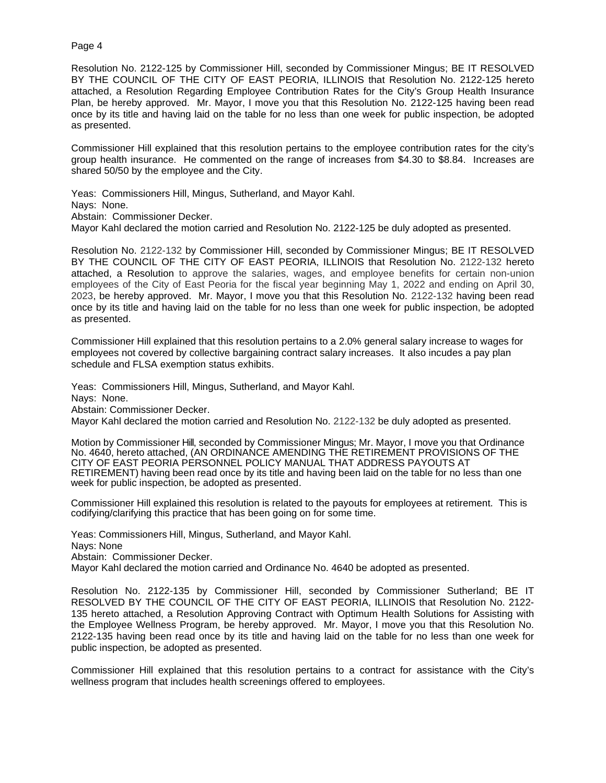Resolution No. 2122-125 by Commissioner Hill, seconded by Commissioner Mingus; BE IT RESOLVED BY THE COUNCIL OF THE CITY OF EAST PEORIA, ILLINOIS that Resolution No. 2122-125 hereto attached, a Resolution Regarding Employee Contribution Rates for the City's Group Health Insurance Plan, be hereby approved. Mr. Mayor, I move you that this Resolution No. 2122-125 having been read once by its title and having laid on the table for no less than one week for public inspection, be adopted as presented.

Commissioner Hill explained that this resolution pertains to the employee contribution rates for the city's group health insurance. He commented on the range of increases from \$4.30 to \$8.84. Increases are shared 50/50 by the employee and the City.

Yeas: Commissioners Hill, Mingus, Sutherland, and Mayor Kahl.

Nays: None.

Abstain: Commissioner Decker.

Mayor Kahl declared the motion carried and Resolution No. 2122-125 be duly adopted as presented.

Resolution No. 2122-132 by Commissioner Hill, seconded by Commissioner Mingus; BE IT RESOLVED BY THE COUNCIL OF THE CITY OF EAST PEORIA, ILLINOIS that Resolution No. 2122-132 hereto attached, a Resolution to approve the salaries, wages, and employee benefits for certain non-union employees of the City of East Peoria for the fiscal year beginning May 1, 2022 and ending on April 30, 2023, be hereby approved. Mr. Mayor, I move you that this Resolution No. 2122-132 having been read once by its title and having laid on the table for no less than one week for public inspection, be adopted as presented.

Commissioner Hill explained that this resolution pertains to a 2.0% general salary increase to wages for employees not covered by collective bargaining contract salary increases. It also incudes a pay plan schedule and FLSA exemption status exhibits.

Yeas: Commissioners Hill, Mingus, Sutherland, and Mayor Kahl.

Nays: None.

Abstain: Commissioner Decker.

Mayor Kahl declared the motion carried and Resolution No. 2122-132 be duly adopted as presented.

Motion by Commissioner Hill, seconded by Commissioner Mingus; Mr. Mayor, I move you that Ordinance No. 4640, hereto attached, (AN ORDINANCE AMENDING THE RETIREMENT PROVISIONS OF THE CITY OF EAST PEORIA PERSONNEL POLICY MANUAL THAT ADDRESS PAYOUTS AT RETIREMENT) having been read once by its title and having been laid on the table for no less than one week for public inspection, be adopted as presented.

Commissioner Hill explained this resolution is related to the payouts for employees at retirement. This is codifying/clarifying this practice that has been going on for some time.

Yeas: Commissioners Hill, Mingus, Sutherland, and Mayor Kahl. Nays: None Abstain: Commissioner Decker.

Mayor Kahl declared the motion carried and Ordinance No. 4640 be adopted as presented.

Resolution No. 2122-135 by Commissioner Hill, seconded by Commissioner Sutherland; BE IT RESOLVED BY THE COUNCIL OF THE CITY OF EAST PEORIA, ILLINOIS that Resolution No. 2122- 135 hereto attached, a Resolution Approving Contract with Optimum Health Solutions for Assisting with the Employee Wellness Program, be hereby approved. Mr. Mayor, I move you that this Resolution No. 2122-135 having been read once by its title and having laid on the table for no less than one week for public inspection, be adopted as presented.

Commissioner Hill explained that this resolution pertains to a contract for assistance with the City's wellness program that includes health screenings offered to employees.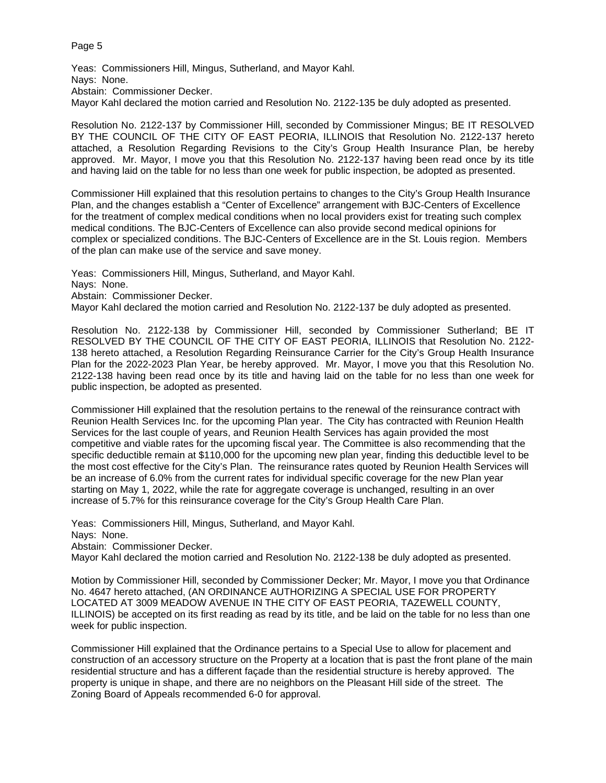Yeas: Commissioners Hill, Mingus, Sutherland, and Mayor Kahl. Nays: None. Abstain: Commissioner Decker. Mayor Kahl declared the motion carried and Resolution No. 2122-135 be duly adopted as presented.

Resolution No. 2122-137 by Commissioner Hill, seconded by Commissioner Mingus; BE IT RESOLVED BY THE COUNCIL OF THE CITY OF EAST PEORIA, ILLINOIS that Resolution No. 2122-137 hereto attached, a Resolution Regarding Revisions to the City's Group Health Insurance Plan, be hereby approved. Mr. Mayor, I move you that this Resolution No. 2122-137 having been read once by its title and having laid on the table for no less than one week for public inspection, be adopted as presented.

Commissioner Hill explained that this resolution pertains to changes to the City's Group Health Insurance Plan, and the changes establish a "Center of Excellence" arrangement with BJC-Centers of Excellence for the treatment of complex medical conditions when no local providers exist for treating such complex medical conditions. The BJC-Centers of Excellence can also provide second medical opinions for complex or specialized conditions. The BJC-Centers of Excellence are in the St. Louis region. Members of the plan can make use of the service and save money.

Yeas: Commissioners Hill, Mingus, Sutherland, and Mayor Kahl. Nays: None. Abstain: Commissioner Decker. Mayor Kahl declared the motion carried and Resolution No. 2122-137 be duly adopted as presented.

Resolution No. 2122-138 by Commissioner Hill, seconded by Commissioner Sutherland; BE IT RESOLVED BY THE COUNCIL OF THE CITY OF EAST PEORIA, ILLINOIS that Resolution No. 2122- 138 hereto attached, a Resolution Regarding Reinsurance Carrier for the City's Group Health Insurance Plan for the 2022-2023 Plan Year, be hereby approved. Mr. Mayor, I move you that this Resolution No. 2122-138 having been read once by its title and having laid on the table for no less than one week for public inspection, be adopted as presented.

Commissioner Hill explained that the resolution pertains to the renewal of the reinsurance contract with Reunion Health Services Inc. for the upcoming Plan year. The City has contracted with Reunion Health Services for the last couple of years, and Reunion Health Services has again provided the most competitive and viable rates for the upcoming fiscal year. The Committee is also recommending that the specific deductible remain at \$110,000 for the upcoming new plan year, finding this deductible level to be the most cost effective for the City's Plan. The reinsurance rates quoted by Reunion Health Services will be an increase of 6.0% from the current rates for individual specific coverage for the new Plan year starting on May 1, 2022, while the rate for aggregate coverage is unchanged, resulting in an over increase of 5.7% for this reinsurance coverage for the City's Group Health Care Plan.

Yeas: Commissioners Hill, Mingus, Sutherland, and Mayor Kahl.

Nays: None.

Abstain: Commissioner Decker.

Mayor Kahl declared the motion carried and Resolution No. 2122-138 be duly adopted as presented.

Motion by Commissioner Hill, seconded by Commissioner Decker; Mr. Mayor, I move you that Ordinance No. 4647 hereto attached, (AN ORDINANCE AUTHORIZING A SPECIAL USE FOR PROPERTY LOCATED AT 3009 MEADOW AVENUE IN THE CITY OF EAST PEORIA, TAZEWELL COUNTY, ILLINOIS) be accepted on its first reading as read by its title, and be laid on the table for no less than one week for public inspection.

Commissioner Hill explained that the Ordinance pertains to a Special Use to allow for placement and construction of an accessory structure on the Property at a location that is past the front plane of the main residential structure and has a different façade than the residential structure is hereby approved. The property is unique in shape, and there are no neighbors on the Pleasant Hill side of the street. The Zoning Board of Appeals recommended 6-0 for approval.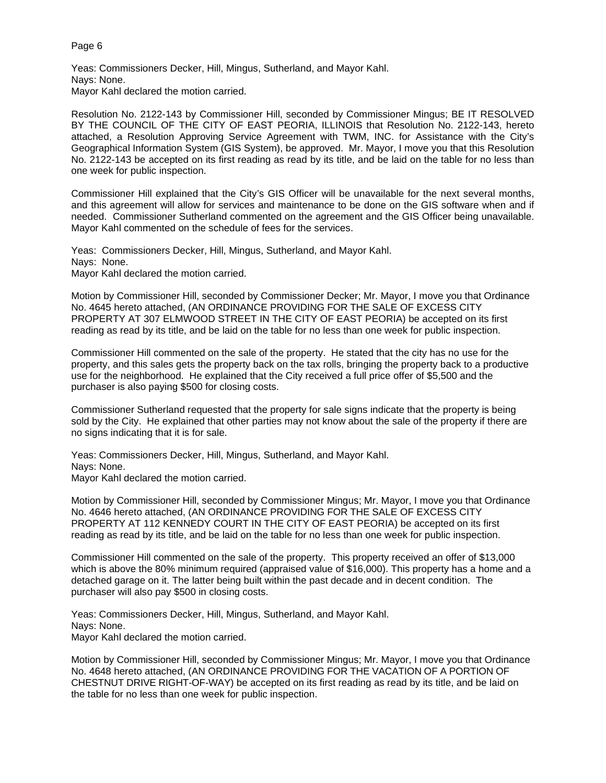Yeas: Commissioners Decker, Hill, Mingus, Sutherland, and Mayor Kahl. Nays: None. Mayor Kahl declared the motion carried.

Resolution No. 2122-143 by Commissioner Hill, seconded by Commissioner Mingus; BE IT RESOLVED BY THE COUNCIL OF THE CITY OF EAST PEORIA, ILLINOIS that Resolution No. 2122-143, hereto attached, a Resolution Approving Service Agreement with TWM, INC. for Assistance with the City's Geographical Information System (GIS System), be approved. Mr. Mayor, I move you that this Resolution No. 2122-143 be accepted on its first reading as read by its title, and be laid on the table for no less than one week for public inspection.

Commissioner Hill explained that the City's GIS Officer will be unavailable for the next several months, and this agreement will allow for services and maintenance to be done on the GIS software when and if needed. Commissioner Sutherland commented on the agreement and the GIS Officer being unavailable. Mayor Kahl commented on the schedule of fees for the services.

Yeas: Commissioners Decker, Hill, Mingus, Sutherland, and Mayor Kahl. Nays: None. Mayor Kahl declared the motion carried.

Motion by Commissioner Hill, seconded by Commissioner Decker; Mr. Mayor, I move you that Ordinance No. 4645 hereto attached, (AN ORDINANCE PROVIDING FOR THE SALE OF EXCESS CITY PROPERTY AT 307 ELMWOOD STREET IN THE CITY OF EAST PEORIA) be accepted on its first reading as read by its title, and be laid on the table for no less than one week for public inspection.

Commissioner Hill commented on the sale of the property. He stated that the city has no use for the property, and this sales gets the property back on the tax rolls, bringing the property back to a productive use for the neighborhood. He explained that the City received a full price offer of \$5,500 and the purchaser is also paying \$500 for closing costs.

Commissioner Sutherland requested that the property for sale signs indicate that the property is being sold by the City. He explained that other parties may not know about the sale of the property if there are no signs indicating that it is for sale.

Yeas: Commissioners Decker, Hill, Mingus, Sutherland, and Mayor Kahl. Nays: None. Mayor Kahl declared the motion carried.

Motion by Commissioner Hill, seconded by Commissioner Mingus; Mr. Mayor, I move you that Ordinance No. 4646 hereto attached, (AN ORDINANCE PROVIDING FOR THE SALE OF EXCESS CITY PROPERTY AT 112 KENNEDY COURT IN THE CITY OF EAST PEORIA) be accepted on its first reading as read by its title, and be laid on the table for no less than one week for public inspection.

Commissioner Hill commented on the sale of the property. This property received an offer of \$13,000 which is above the 80% minimum required (appraised value of \$16,000). This property has a home and a detached garage on it. The latter being built within the past decade and in decent condition. The purchaser will also pay \$500 in closing costs.

Yeas: Commissioners Decker, Hill, Mingus, Sutherland, and Mayor Kahl. Nays: None. Mayor Kahl declared the motion carried.

Motion by Commissioner Hill, seconded by Commissioner Mingus; Mr. Mayor, I move you that Ordinance No. 4648 hereto attached, (AN ORDINANCE PROVIDING FOR THE VACATION OF A PORTION OF CHESTNUT DRIVE RIGHT-OF-WAY) be accepted on its first reading as read by its title, and be laid on the table for no less than one week for public inspection.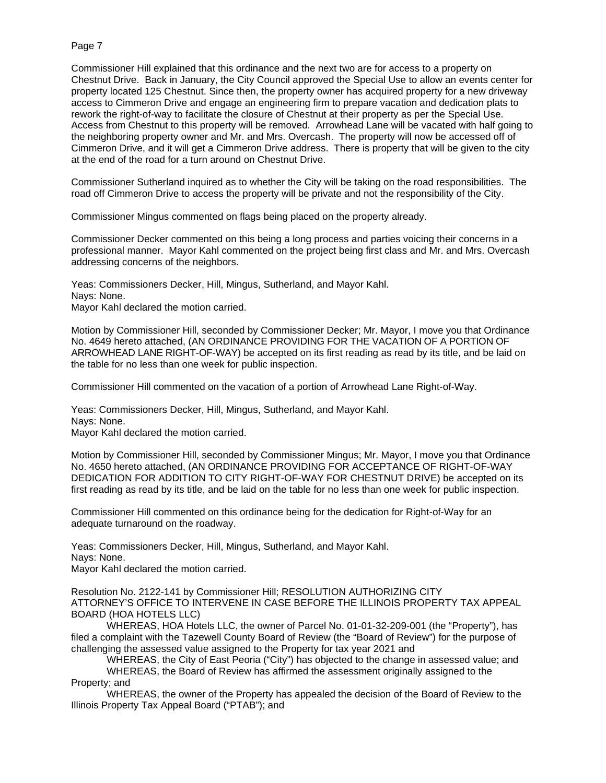Commissioner Hill explained that this ordinance and the next two are for access to a property on Chestnut Drive. Back in January, the City Council approved the Special Use to allow an events center for property located 125 Chestnut. Since then, the property owner has acquired property for a new driveway access to Cimmeron Drive and engage an engineering firm to prepare vacation and dedication plats to rework the right-of-way to facilitate the closure of Chestnut at their property as per the Special Use. Access from Chestnut to this property will be removed. Arrowhead Lane will be vacated with half going to the neighboring property owner and Mr. and Mrs. Overcash. The property will now be accessed off of Cimmeron Drive, and it will get a Cimmeron Drive address. There is property that will be given to the city at the end of the road for a turn around on Chestnut Drive.

Commissioner Sutherland inquired as to whether the City will be taking on the road responsibilities. The road off Cimmeron Drive to access the property will be private and not the responsibility of the City.

Commissioner Mingus commented on flags being placed on the property already.

Commissioner Decker commented on this being a long process and parties voicing their concerns in a professional manner. Mayor Kahl commented on the project being first class and Mr. and Mrs. Overcash addressing concerns of the neighbors.

Yeas: Commissioners Decker, Hill, Mingus, Sutherland, and Mayor Kahl. Nays: None. Mayor Kahl declared the motion carried.

Motion by Commissioner Hill, seconded by Commissioner Decker; Mr. Mayor, I move you that Ordinance No. 4649 hereto attached, (AN ORDINANCE PROVIDING FOR THE VACATION OF A PORTION OF ARROWHEAD LANE RIGHT-OF-WAY) be accepted on its first reading as read by its title, and be laid on the table for no less than one week for public inspection.

Commissioner Hill commented on the vacation of a portion of Arrowhead Lane Right-of-Way.

Yeas: Commissioners Decker, Hill, Mingus, Sutherland, and Mayor Kahl. Nays: None. Mayor Kahl declared the motion carried.

Motion by Commissioner Hill, seconded by Commissioner Mingus; Mr. Mayor, I move you that Ordinance No. 4650 hereto attached, (AN ORDINANCE PROVIDING FOR ACCEPTANCE OF RIGHT-OF-WAY DEDICATION FOR ADDITION TO CITY RIGHT-OF-WAY FOR CHESTNUT DRIVE) be accepted on its first reading as read by its title, and be laid on the table for no less than one week for public inspection.

Commissioner Hill commented on this ordinance being for the dedication for Right-of-Way for an adequate turnaround on the roadway.

Yeas: Commissioners Decker, Hill, Mingus, Sutherland, and Mayor Kahl. Nays: None. Mayor Kahl declared the motion carried.

Resolution No. 2122-141 by Commissioner Hill; RESOLUTION AUTHORIZING CITY ATTORNEY'S OFFICE TO INTERVENE IN CASE BEFORE THE ILLINOIS PROPERTY TAX APPEAL BOARD (HOA HOTELS LLC)

WHEREAS, HOA Hotels LLC, the owner of Parcel No. 01-01-32-209-001 (the "Property"), has filed a complaint with the Tazewell County Board of Review (the "Board of Review") for the purpose of challenging the assessed value assigned to the Property for tax year 2021 and

WHEREAS, the City of East Peoria ("City") has objected to the change in assessed value; and WHEREAS, the Board of Review has affirmed the assessment originally assigned to the Property; and

WHEREAS, the owner of the Property has appealed the decision of the Board of Review to the Illinois Property Tax Appeal Board ("PTAB"); and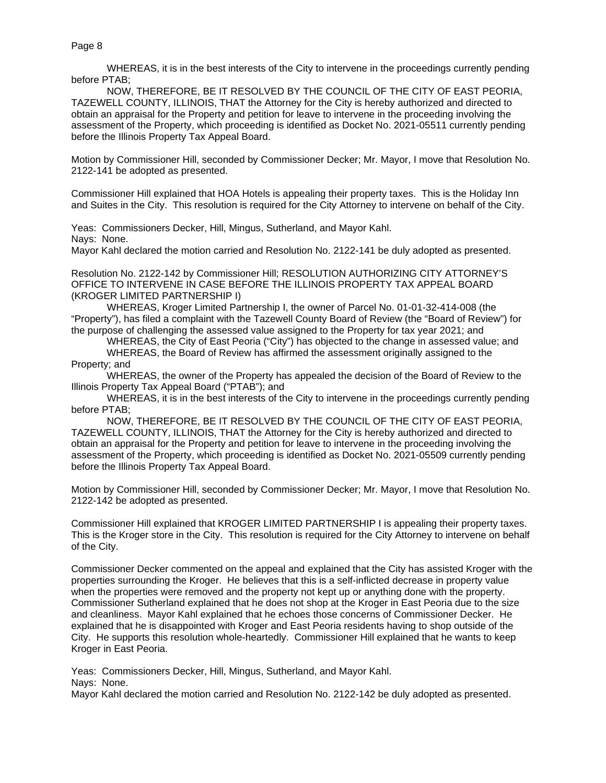WHEREAS, it is in the best interests of the City to intervene in the proceedings currently pending before PTAB;

NOW, THEREFORE, BE IT RESOLVED BY THE COUNCIL OF THE CITY OF EAST PEORIA, TAZEWELL COUNTY, ILLINOIS, THAT the Attorney for the City is hereby authorized and directed to obtain an appraisal for the Property and petition for leave to intervene in the proceeding involving the assessment of the Property, which proceeding is identified as Docket No. 2021-05511 currently pending before the Illinois Property Tax Appeal Board.

Motion by Commissioner Hill, seconded by Commissioner Decker; Mr. Mayor, I move that Resolution No. 2122-141 be adopted as presented.

Commissioner Hill explained that HOA Hotels is appealing their property taxes. This is the Holiday Inn and Suites in the City. This resolution is required for the City Attorney to intervene on behalf of the City.

Yeas: Commissioners Decker, Hill, Mingus, Sutherland, and Mayor Kahl.

Nays: None.

Mayor Kahl declared the motion carried and Resolution No. 2122-141 be duly adopted as presented.

Resolution No. 2122-142 by Commissioner Hill; RESOLUTION AUTHORIZING CITY ATTORNEY'S OFFICE TO INTERVENE IN CASE BEFORE THE ILLINOIS PROPERTY TAX APPEAL BOARD (KROGER LIMITED PARTNERSHIP I)

WHEREAS, Kroger Limited Partnership I, the owner of Parcel No. 01-01-32-414-008 (the "Property"), has filed a complaint with the Tazewell County Board of Review (the "Board of Review") for the purpose of challenging the assessed value assigned to the Property for tax year 2021; and

WHEREAS, the City of East Peoria ("City") has objected to the change in assessed value; and

WHEREAS, the Board of Review has affirmed the assessment originally assigned to the Property; and

WHEREAS, the owner of the Property has appealed the decision of the Board of Review to the Illinois Property Tax Appeal Board ("PTAB"); and

WHEREAS, it is in the best interests of the City to intervene in the proceedings currently pending before PTAB;

NOW, THEREFORE, BE IT RESOLVED BY THE COUNCIL OF THE CITY OF EAST PEORIA, TAZEWELL COUNTY, ILLINOIS, THAT the Attorney for the City is hereby authorized and directed to obtain an appraisal for the Property and petition for leave to intervene in the proceeding involving the assessment of the Property, which proceeding is identified as Docket No. 2021-05509 currently pending before the Illinois Property Tax Appeal Board.

Motion by Commissioner Hill, seconded by Commissioner Decker; Mr. Mayor, I move that Resolution No. 2122-142 be adopted as presented.

Commissioner Hill explained that KROGER LIMITED PARTNERSHIP I is appealing their property taxes. This is the Kroger store in the City. This resolution is required for the City Attorney to intervene on behalf of the City.

Commissioner Decker commented on the appeal and explained that the City has assisted Kroger with the properties surrounding the Kroger. He believes that this is a self-inflicted decrease in property value when the properties were removed and the property not kept up or anything done with the property. Commissioner Sutherland explained that he does not shop at the Kroger in East Peoria due to the size and cleanliness. Mayor Kahl explained that he echoes those concerns of Commissioner Decker. He explained that he is disappointed with Kroger and East Peoria residents having to shop outside of the City. He supports this resolution whole-heartedly. Commissioner Hill explained that he wants to keep Kroger in East Peoria.

Yeas: Commissioners Decker, Hill, Mingus, Sutherland, and Mayor Kahl. Nays: None.

Mayor Kahl declared the motion carried and Resolution No. 2122-142 be duly adopted as presented.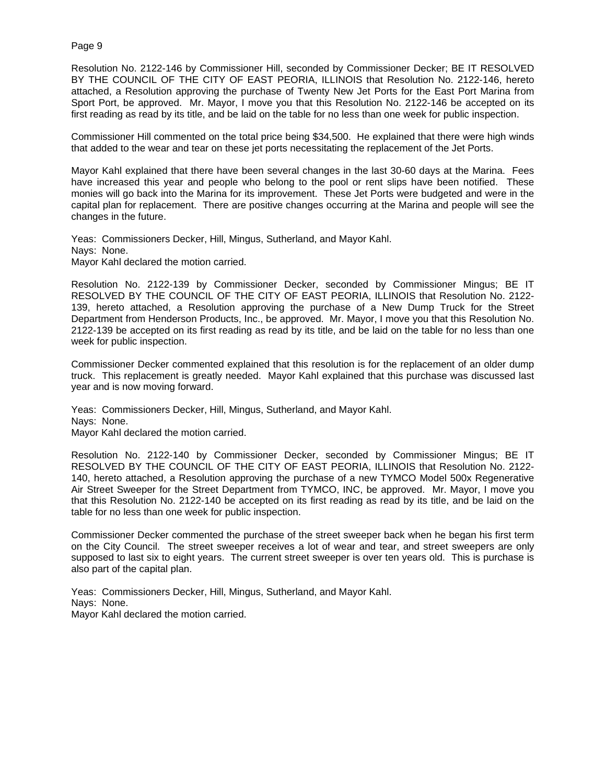Resolution No. 2122-146 by Commissioner Hill, seconded by Commissioner Decker; BE IT RESOLVED BY THE COUNCIL OF THE CITY OF EAST PEORIA, ILLINOIS that Resolution No. 2122-146, hereto attached, a Resolution approving the purchase of Twenty New Jet Ports for the East Port Marina from Sport Port, be approved. Mr. Mayor, I move you that this Resolution No. 2122-146 be accepted on its first reading as read by its title, and be laid on the table for no less than one week for public inspection.

Commissioner Hill commented on the total price being \$34,500. He explained that there were high winds that added to the wear and tear on these jet ports necessitating the replacement of the Jet Ports.

Mayor Kahl explained that there have been several changes in the last 30-60 days at the Marina. Fees have increased this year and people who belong to the pool or rent slips have been notified. These monies will go back into the Marina for its improvement. These Jet Ports were budgeted and were in the capital plan for replacement. There are positive changes occurring at the Marina and people will see the changes in the future.

Yeas: Commissioners Decker, Hill, Mingus, Sutherland, and Mayor Kahl. Nays: None. Mayor Kahl declared the motion carried.

Resolution No. 2122-139 by Commissioner Decker, seconded by Commissioner Mingus; BE IT RESOLVED BY THE COUNCIL OF THE CITY OF EAST PEORIA, ILLINOIS that Resolution No. 2122- 139, hereto attached, a Resolution approving the purchase of a New Dump Truck for the Street Department from Henderson Products, Inc., be approved. Mr. Mayor, I move you that this Resolution No. 2122-139 be accepted on its first reading as read by its title, and be laid on the table for no less than one week for public inspection.

Commissioner Decker commented explained that this resolution is for the replacement of an older dump truck. This replacement is greatly needed. Mayor Kahl explained that this purchase was discussed last year and is now moving forward.

Yeas: Commissioners Decker, Hill, Mingus, Sutherland, and Mayor Kahl. Nays: None. Mayor Kahl declared the motion carried.

Resolution No. 2122-140 by Commissioner Decker, seconded by Commissioner Mingus; BE IT RESOLVED BY THE COUNCIL OF THE CITY OF EAST PEORIA, ILLINOIS that Resolution No. 2122- 140, hereto attached, a Resolution approving the purchase of a new TYMCO Model 500x Regenerative Air Street Sweeper for the Street Department from TYMCO, INC, be approved. Mr. Mayor, I move you that this Resolution No. 2122-140 be accepted on its first reading as read by its title, and be laid on the table for no less than one week for public inspection.

Commissioner Decker commented the purchase of the street sweeper back when he began his first term on the City Council. The street sweeper receives a lot of wear and tear, and street sweepers are only supposed to last six to eight years. The current street sweeper is over ten years old. This is purchase is also part of the capital plan.

Yeas: Commissioners Decker, Hill, Mingus, Sutherland, and Mayor Kahl. Nays: None. Mayor Kahl declared the motion carried.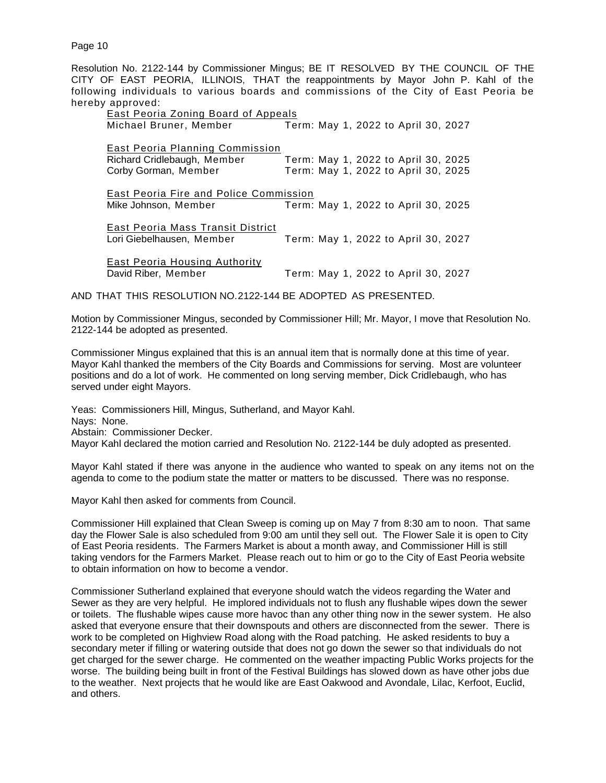Resolution No. 2122-144 by Commissioner Mingus; BE IT RESOLVED BY THE COUNCIL OF THE CITY OF EAST PEORIA, ILLINOIS, THAT the reappointments by Mayor John P. Kahl of the following individuals to various boards and commissions of the City of East Peoria be hereby approved:

| East Peoria Zoning Board of Appeals    |                                     |
|----------------------------------------|-------------------------------------|
| Michael Bruner, Member                 | Term: May 1, 2022 to April 30, 2027 |
| East Peoria Planning Commission        |                                     |
| Richard Cridlebaugh, Member            | Term: May 1, 2022 to April 30, 2025 |
| Corby Gorman, Member                   | Term: May 1, 2022 to April 30, 2025 |
| East Peoria Fire and Police Commission |                                     |
| Mike Johnson, Member                   | Term: May 1, 2022 to April 30, 2025 |
| East Peoria Mass Transit District      |                                     |
| Lori Giebelhausen, Member              | Term: May 1, 2022 to April 30, 2027 |
| <u>East Peoria Housing Authority</u>   |                                     |
| David Riber, Member                    | Term: May 1, 2022 to April 30, 2027 |

AND THAT THIS RESOLUTION NO. 2122-144 BE ADOPTED AS PRESENTED.

Motion by Commissioner Mingus, seconded by Commissioner Hill; Mr. Mayor, I move that Resolution No. 2122-144 be adopted as presented.

Commissioner Mingus explained that this is an annual item that is normally done at this time of year. Mayor Kahl thanked the members of the City Boards and Commissions for serving. Most are volunteer positions and do a lot of work. He commented on long serving member, Dick Cridlebaugh, who has served under eight Mayors.

Yeas: Commissioners Hill, Mingus, Sutherland, and Mayor Kahl. Nays: None. Abstain: Commissioner Decker. Mayor Kahl declared the motion carried and Resolution No. 2122-144 be duly adopted as presented.

Mayor Kahl stated if there was anyone in the audience who wanted to speak on any items not on the agenda to come to the podium state the matter or matters to be discussed. There was no response.

Mayor Kahl then asked for comments from Council.

Commissioner Hill explained that Clean Sweep is coming up on May 7 from 8:30 am to noon. That same day the Flower Sale is also scheduled from 9:00 am until they sell out. The Flower Sale it is open to City of East Peoria residents. The Farmers Market is about a month away, and Commissioner Hill is still taking vendors for the Farmers Market. Please reach out to him or go to the City of East Peoria website to obtain information on how to become a vendor.

Commissioner Sutherland explained that everyone should watch the videos regarding the Water and Sewer as they are very helpful. He implored individuals not to flush any flushable wipes down the sewer or toilets. The flushable wipes cause more havoc than any other thing now in the sewer system. He also asked that everyone ensure that their downspouts and others are disconnected from the sewer. There is work to be completed on Highview Road along with the Road patching. He asked residents to buy a secondary meter if filling or watering outside that does not go down the sewer so that individuals do not get charged for the sewer charge. He commented on the weather impacting Public Works projects for the worse. The building being built in front of the Festival Buildings has slowed down as have other jobs due to the weather. Next projects that he would like are East Oakwood and Avondale, Lilac, Kerfoot, Euclid, and others.